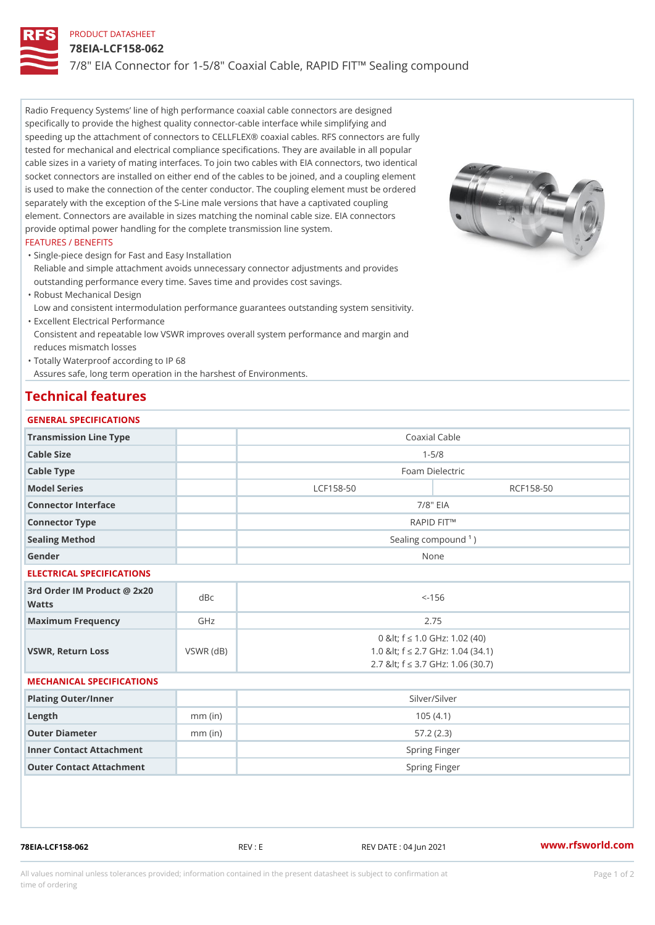# PRODUCT DATASHEET

## 78EIA-LCF158-062

7/8" EIA Connector for 1-5/8" Coaxial Cable, RAPID FIT!" Sealing comp

Radio Frequency Systems line of high performance coaxial cable connectors are designed specifically to provide the highest quality connector-cable interface while simplifying and speeding up the attachment of connectors to CELLFLEX® coaxial cables. RFS connectors are fully tested for mechanical and electrical compliance specifications. They are available in all popular cable sizes in a variety of mating interfaces. To join two cables with EIA connectors, two identical socket connectors are installed on either end of the cables to be joined, and a coupling element is used to make the connection of the center conductor. The coupling element must be ordered separately with the exception of the S-Line male versions that have a captivated coupling element. Connectors are available in sizes matching the nominal cable size. EIA connectors provide optimal power handling for the complete transmission line system.

## FEATURES / BENEFITS

Single-piece design for Fast and Easy Installation " Reliable and simple attachment avoids unnecessary connector adjustments and provides outstanding performance every time. Saves time and provides cost savings.

Robust Mechanical Design "

Low and consistent intermodulation performance guarantees outstanding system sensitivity. Excellent Electrical Performance "

Consistent and repeatable low VSWR improves overall system performance and margin and reduces mismatch losses

Totally Waterproof according to IP 68 "

Assures safe, long term operation in the harshest of Environments.

# Technical features

### GENERAL SPECIFICATIONS

| Transmission Line Type |  |                     | Coaxial Cable |  |
|------------------------|--|---------------------|---------------|--|
| Cable Size             |  | $1 - 5/8$           |               |  |
| Cable Type             |  | Foam Dielectric     |               |  |
| Model Series           |  | $LCF158-50$         | RCF158-50     |  |
| Connector Interface    |  |                     | $7/8$ " EIA   |  |
| Connector Type         |  |                     | RAPID FIT!"   |  |
| Sealing Method         |  | Sealing compound 1) |               |  |
| Gender                 |  | None                |               |  |
|                        |  |                     |               |  |

### ELECTRICAL SPECIFICATIONS

| 3rd Order IM Product @ 2x20<br>dBc<br>Watts |           | $<-156$                                                                                                         |
|---------------------------------------------|-----------|-----------------------------------------------------------------------------------------------------------------|
| Maximum Frequency                           | GHz       | 2.75                                                                                                            |
| VSWR, Return Loss                           | VSWR (dB) | 0 & It; f "d 1.0 G H z: 1.02 (40)<br>1.0 & It; f "d 2.7 GHz: 1.04 (34.1)<br>2.7 & It; f "d 3.7 GHz: 1.06 (30.7) |

### MECHANICAL SPECIFICATIONS

| Plating Outer/Inner      |           | Silver/Silver |
|--------------------------|-----------|---------------|
| Length                   | $mm$ (in) | 105(4.1)      |
| Outer Diameter           | $mm$ (in) | 57.2(2.3)     |
| Inner Contact Attachment |           | Spring Finger |
| Outer Contact Attachment |           | Spring Finger |

78EIA-LCF158-062 REV : E REV DATE : 04 Jun 2021 [www.](https://www.rfsworld.com)rfsworld.com